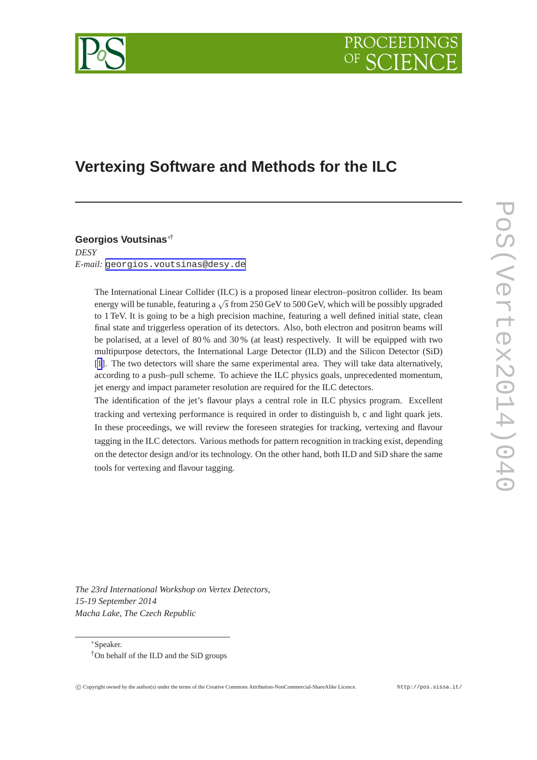

# **Vertexing Software and Methods for the ILC**

**Georgios Voutsinas**∗† *DESY E-mail:* [georgios.voutsinas@desy.de](mailto:georgios.voutsinas@desy.de)

> The International Linear Collider (ILC) is a proposed linear electron–positron collider. Its beam energy will be tunable, featuring a √ *s* from 250 GeV to 500 GeV, which will be possibly upgraded to 1 TeV. It is going to be a high precision machine, featuring a well defined initial state, clean final state and triggerless operation of its detectors. Also, both electron and positron beams will be polarised, at a level of 80 % and 30 % (at least) respectively. It will be equipped with two multipurpose detectors, the International Large Detector (ILD) and the Silicon Detector (SiD) [\[1](#page-9-0)]. The two detectors will share the same experimental area. They will take data alternatively, according to a push–pull scheme. To achieve the ILC physics goals, unprecedented momentum, jet energy and impact parameter resolution are required for the ILC detectors.

> The identification of the jet's flavour plays a central role in ILC physics program. Excellent tracking and vertexing performance is required in order to distinguish b, c and light quark jets. In these proceedings, we will review the foreseen strategies for tracking, vertexing and flavour tagging in the ILC detectors. Various methods for pattern recognition in tracking exist, depending on the detector design and/or its technology. On the other hand, both ILD and SiD share the same tools for vertexing and flavour tagging.

*The 23rd International Workshop on Vertex Detectors, 15-19 September 2014 Macha Lake, The Czech Republic*

∗Speaker.

<sup>†</sup>On behalf of the ILD and the SiD groups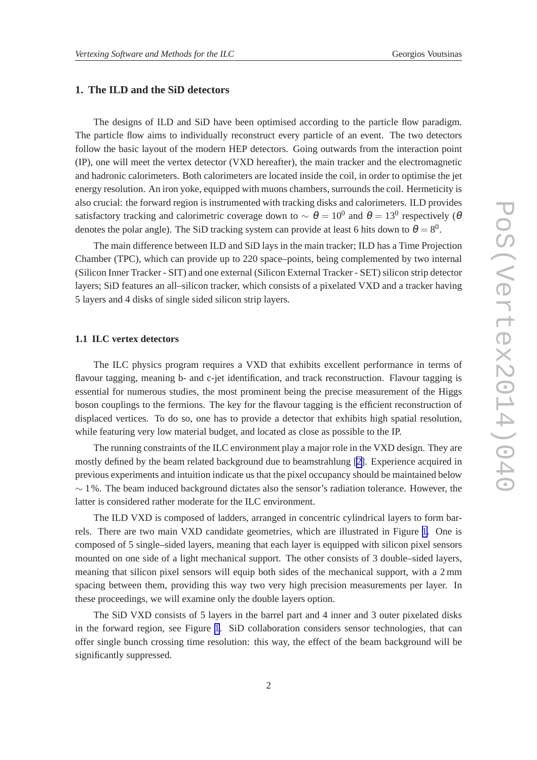# **1. The ILD and the SiD detectors**

The designs of ILD and SiD have been optimised according to the particle flow paradigm. The particle flow aims to individually reconstruct every particle of an event. The two detectors follow the basic layout of the modern HEP detectors. Going outwards from the interaction point (IP), one will meet the vertex detector (VXD hereafter), the main tracker and the electromagnetic and hadronic calorimeters. Both calorimeters are located inside the coil, in order to optimise the jet energy resolution. An iron yoke, equipped with muons chambers, surrounds the coil. Hermeticity is also crucial: the forward region is instrumented with tracking disks and calorimeters. ILD provides satisfactory tracking and calorimetric coverage down to  $\sim \theta = 10^0$  and  $\theta = 13^0$  respectively ( $\theta$ denotes the polar angle). The SiD tracking system can provide at least 6 hits down to  $\theta = 8^0$ .

The main difference between ILD and SiD lays in the main tracker; ILD has a Time Projection Chamber (TPC), which can provide up to 220 space–points, being complemented by two internal (Silicon Inner Tracker - SIT) and one external (Silicon External Tracker - SET) silicon strip detector layers; SiD features an all–silicon tracker, which consists of a pixelated VXD and a tracker having 5 layers and 4 disks of single sided silicon strip layers.

### **1.1 ILC vertex detectors**

The ILC physics program requires a VXD that exhibits excellent performance in terms of flavour tagging, meaning b- and c-jet identification, and track reconstruction. Flavour tagging is essential for numerous studies, the most prominent being the precise measurement of the Higgs boson couplings to the fermions. The key for the flavour tagging is the efficient reconstruction of displaced vertices. To do so, one has to provide a detector that exhibits high spatial resolution, while featuring very low material budget, and located as close as possible to the IP.

The running constraints of the ILC environment play a major role in the VXD design. They are mostly defined by the beam related background due to beamstrahlung [\[2\]](#page-9-0). Experience acquired in previous experiments and intuition indicate us that the pixel occupancy should be maintained below  $\sim$  1%. The beam induced background dictates also the sensor's radiation tolerance. However, the latter is considered rather moderate for the ILC environment.

The ILD VXD is composed of ladders, arranged in concentric cylindrical layers to form barrels. There are two main VXD candidate geometries, which are illustrated in Figure [1](#page-2-0). One is composed of 5 single–sided layers, meaning that each layer is equipped with silicon pixel sensors mounted on one side of a light mechanical support. The other consists of 3 double–sided layers, meaning that silicon pixel sensors will equip both sides of the mechanical support, with a 2 mm spacing between them, providing this way two very high precision measurements per layer. In these proceedings, we will examine only the double layers option.

The SiD VXD consists of 5 layers in the barrel part and 4 inner and 3 outer pixelated disks in the forward region, see Figure [1](#page-2-0). SiD collaboration considers sensor technologies, that can offer single bunch crossing time resolution: this way, the effect of the beam background will be significantly suppressed.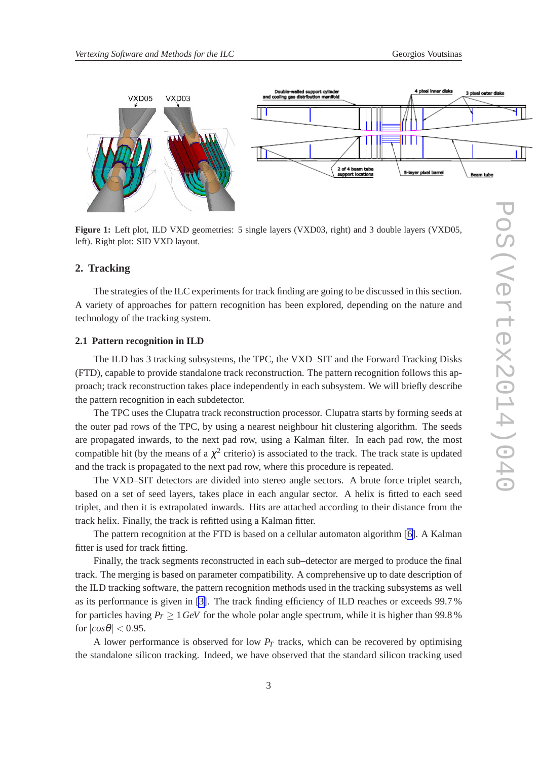<span id="page-2-0"></span>

Figure 1: Left plot, ILD VXD geometries: 5 single layers (VXD03, right) and 3 double layers (VXD05, left). Right plot: SID VXD layout.

### **2. Tracking**

The strategies of the ILC experiments for track finding are going to be discussed in this section. A variety of approaches for pattern recognition has been explored, depending on the nature and technology of the tracking system.

#### **2.1 Pattern recognition in ILD**

The ILD has 3 tracking subsystems, the TPC, the VXD–SIT and the Forward Tracking Disks (FTD), capable to provide standalone track reconstruction. The pattern recognition follows this approach; track reconstruction takes place independently in each subsystem. We will briefly describe the pattern recognition in each subdetector.

The TPC uses the Clupatra track reconstruction processor. Clupatra starts by forming seeds at the outer pad rows of the TPC, by using a nearest neighbour hit clustering algorithm. The seeds are propagated inwards, to the next pad row, using a Kalman filter. In each pad row, the most compatible hit (by the means of a  $\chi^2$  criterio) is associated to the track. The track state is updated and the track is propagated to the next pad row, where this procedure is repeated.

The VXD–SIT detectors are divided into stereo angle sectors. A brute force triplet search, based on a set of seed layers, takes place in each angular sector. A helix is fitted to each seed triplet, and then it is extrapolated inwards. Hits are attached according to their distance from the track helix. Finally, the track is refitted using a Kalman fitter.

The pattern recognition at the FTD is based on a cellular automaton algorithm [\[6\]](#page-9-0). A Kalman fitter is used for track fitting.

Finally, the track segments reconstructed in each sub–detector are merged to produce the final track. The merging is based on parameter compatibility. A comprehensive up to date description of the ILD tracking software, the pattern recognition methods used in the tracking subsystems as well as its performance is given in [\[3\]](#page-9-0). The track finding efficiency of ILD reaches or exceeds 99.7 % for particles having  $P_T \ge 1$  *GeV* for the whole polar angle spectrum, while it is higher than 99.8% for  $|cos\theta| < 0.95$ .

A lower performance is observed for low  $P_T$  tracks, which can be recovered by optimising the standalone silicon tracking. Indeed, we have observed that the standard silicon tracking used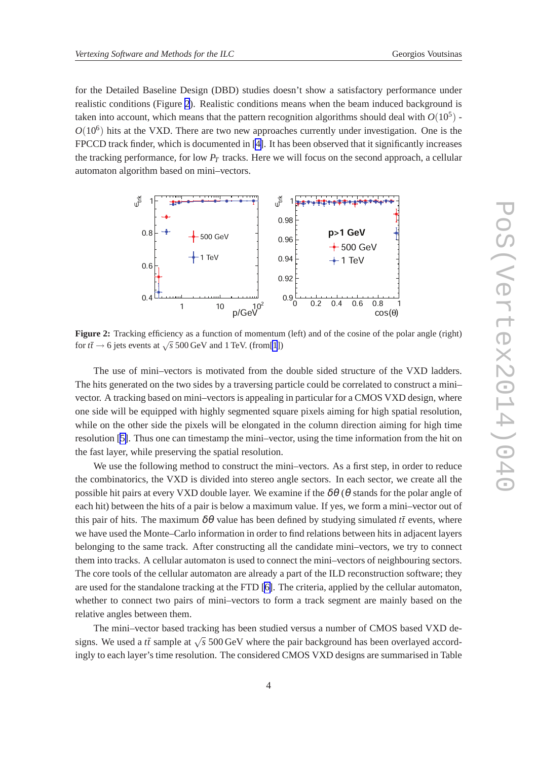for the Detailed Baseline Design (DBD) studies doesn't show a satisfactory performance under realistic conditions (Figure 2). Realistic conditions means when the beam induced background is taken into account, which means that the pattern recognition algorithms should deal with  $O(10^5)$  - $O(10^6)$  hits at the VXD. There are two new approaches currently under investigation. One is the FPCCD track finder, which is documented in [\[4\]](#page-9-0). It has been observed that it significantly increases the tracking performance, for low *P<sup>T</sup>* tracks. Here we will focus on the second approach, a cellular automaton algorithm based on mini–vectors.



**Figure 2:** Tracking efficiency as a function of momentum (left) and of the cosine of the polar angle (right) for  $t\bar{t} \to 6$  jets events at  $\sqrt{s}$  500 GeV and 1 TeV. (from[\[1](#page-9-0)])

The use of mini–vectors is motivated from the double sided structure of the VXD ladders. The hits generated on the two sides by a traversing particle could be correlated to construct a mini– vector. A tracking based on mini–vectors is appealing in particular for a CMOS VXD design, where one side will be equipped with highly segmented square pixels aiming for high spatial resolution, while on the other side the pixels will be elongated in the column direction aiming for high time resolution [\[5\]](#page-9-0). Thus one can timestamp the mini–vector, using the time information from the hit on the fast layer, while preserving the spatial resolution.

We use the following method to construct the mini–vectors. As a first step, in order to reduce the combinatorics, the VXD is divided into stereo angle sectors. In each sector, we create all the possible hit pairs at every VXD double layer. We examine if the  $\delta\theta$  ( $\theta$  stands for the polar angle of each hit) between the hits of a pair is below a maximum value. If yes, we form a mini–vector out of this pair of hits. The maximum  $\delta\theta$  value has been defined by studying simulated  $t\bar{t}$  events, where we have used the Monte–Carlo information in order to find relations between hits in adjacent layers belonging to the same track. After constructing all the candidate mini–vectors, we try to connect them into tracks. A cellular automaton is used to connect the mini–vectors of neighbouring sectors. The core tools of the cellular automaton are already a part of the ILD reconstruction software; they are used for the standalone tracking at the FTD [\[6\]](#page-9-0). The criteria, applied by the cellular automaton, whether to connect two pairs of mini–vectors to form a track segment are mainly based on the relative angles between them.

The mini–vector based tracking has been studied versus a number of CMOS based VXD designs. We used a  $t\bar{t}$  sample at  $\sqrt{s}$  500 GeV where the pair background has been overlayed accordingly to each layer's time resolution. The considered CMOS VXD designs are summarised in Table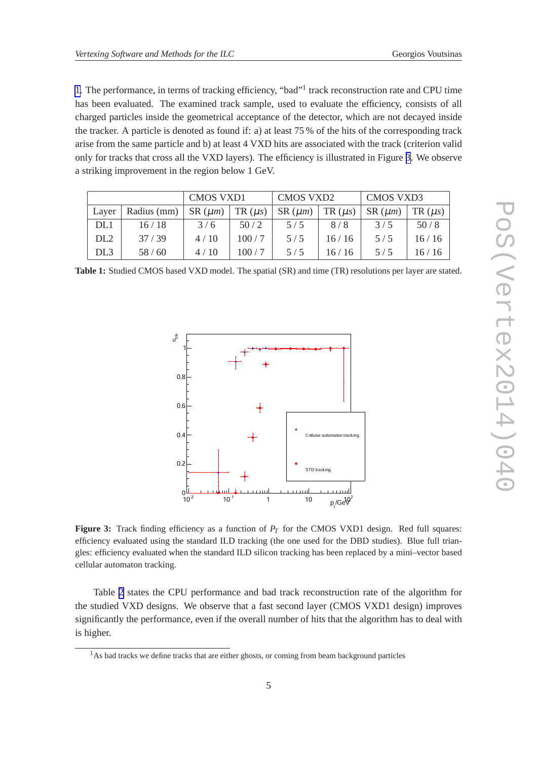1. The performance, in terms of tracking efficiency, "bad"<sup>1</sup> track reconstruction rate and CPU time has been evaluated. The examined track sample, used to evaluate the efficiency, consists of all charged particles inside the geometrical acceptance of the detector, which are not decayed inside the tracker. A particle is denoted as found if: a) at least 75 % of the hits of the corresponding track arise from the same particle and b) at least 4 VXD hits are associated with the track (criterion valid only for tracks that cross all the VXD layers). The efficiency is illustrated in Figure 3. We observe a striking improvement in the region below 1 GeV.

|                 |             | <b>CMOS VXD1</b>             |             | <b>CMOS VXD2</b>         |       | <b>CMOS VXD3</b> |        |
|-----------------|-------------|------------------------------|-------------|--------------------------|-------|------------------|--------|
| Laver           | Radius (mm) | $\vert$ SR $(\mu m)$ $\vert$ | $TR(\mu s)$ | $SR(\mu m)$ TR $(\mu s)$ |       | $SR(\mu m)$      | TR(us) |
| DL1             | 16/18       | 3/6                          | 50/2        | 5/5                      | 8/8   | 3/5              | 50/8   |
| DL <sub>2</sub> | 37/39       | 4/10                         | 100/7       | 5/5                      | 16/16 | 5/5              | 16/16  |
| DL <sub>3</sub> | 58/60       | 4/10                         | 100/7       | 5/5                      | 16/16 | 5/5              | 16/16  |

| Table 1: Studied CMOS based VXD model. The spatial (SR) and time (TR) resolutions per layer are stated. |  |  |
|---------------------------------------------------------------------------------------------------------|--|--|
|---------------------------------------------------------------------------------------------------------|--|--|



**Figure 3:** Track finding efficiency as a function of  $P_T$  for the CMOS VXD1 design. Red full squares: efficiency evaluated using the standard ILD tracking (the one used for the DBD studies). Blue full triangles: efficiency evaluated when the standard ILD silicon tracking has been replaced by a mini–vector based cellular automaton tracking.

Table [2](#page-5-0) states the CPU performance and bad track reconstruction rate of the algorithm for the studied VXD designs. We observe that a fast second layer (CMOS VXD1 design) improves significantly the performance, even if the overall number of hits that the algorithm has to deal with is higher.

<sup>&</sup>lt;sup>1</sup>As bad tracks we define tracks that are either ghosts, or coming from beam background particles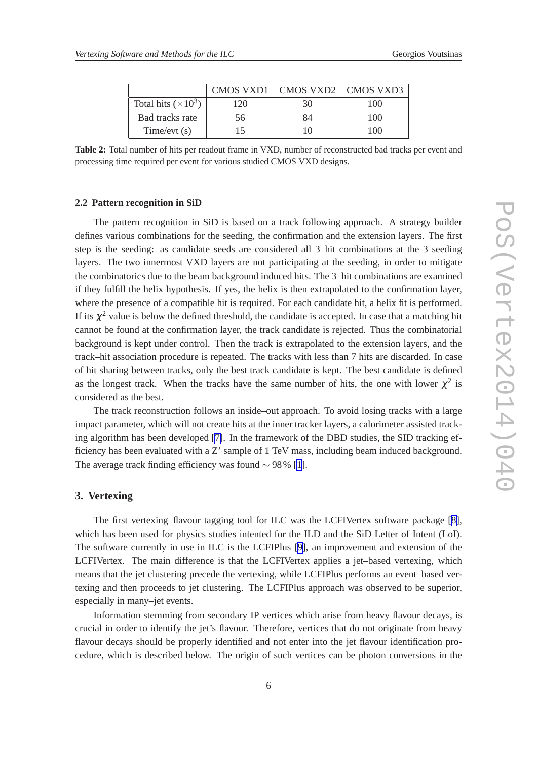<span id="page-5-0"></span>

|                            |     | CMOS VXD1   CMOS VXD2   CMOS VXD3 |     |
|----------------------------|-----|-----------------------------------|-----|
| Total hits $(\times 10^3)$ | 120 | 30                                | 100 |
| Bad tracks rate            | 56  | 84                                | 100 |
| Time/evt(s)                | 15  |                                   | 100 |

**Table 2:** Total number of hits per readout frame in VXD, number of reconstructed bad tracks per event and processing time required per event for various studied CMOS VXD designs.

#### **2.2 Pattern recognition in SiD**

The pattern recognition in SiD is based on a track following approach. A strategy builder defines various combinations for the seeding, the confirmation and the extension layers. The first step is the seeding: as candidate seeds are considered all 3–hit combinations at the 3 seeding layers. The two innermost VXD layers are not participating at the seeding, in order to mitigate the combinatorics due to the beam background induced hits. The 3–hit combinations are examined if they fulfill the helix hypothesis. If yes, the helix is then extrapolated to the confirmation layer, where the presence of a compatible hit is required. For each candidate hit, a helix fit is performed. If its  $\chi^2$  value is below the defined threshold, the candidate is accepted. In case that a matching hit cannot be found at the confirmation layer, the track candidate is rejected. Thus the combinatorial background is kept under control. Then the track is extrapolated to the extension layers, and the track–hit association procedure is repeated. The tracks with less than 7 hits are discarded. In case of hit sharing between tracks, only the best track candidate is kept. The best candidate is defined as the longest track. When the tracks have the same number of hits, the one with lower  $\chi^2$  is considered as the best.

The track reconstruction follows an inside–out approach. To avoid losing tracks with a large impact parameter, which will not create hits at the inner tracker layers, a calorimeter assisted tracking algorithm has been developed [\[7\]](#page-9-0). In the framework of the DBD studies, the SID tracking efficiency has been evaluated with a Z' sample of 1 TeV mass, including beam induced background. The average track finding efficiency was found  $\sim$  98% [\[1](#page-9-0)].

## **3. Vertexing**

The first vertexing–flavour tagging tool for ILC was the LCFIVertex software package [\[8\]](#page-9-0), which has been used for physics studies intented for the ILD and the SiD Letter of Intent (LoI). The software currently in use in ILC is the LCFIPlus [[9](#page-9-0)], an improvement and extension of the LCFIVertex. The main difference is that the LCFIVertex applies a jet–based vertexing, which means that the jet clustering precede the vertexing, while LCFIPlus performs an event–based vertexing and then proceeds to jet clustering. The LCFIPlus approach was observed to be superior, especially in many–jet events.

Information stemming from secondary IP vertices which arise from heavy flavour decays, is crucial in order to identify the jet's flavour. Therefore, vertices that do not originate from heavy flavour decays should be properly identified and not enter into the jet flavour identification procedure, which is described below. The origin of such vertices can be photon conversions in the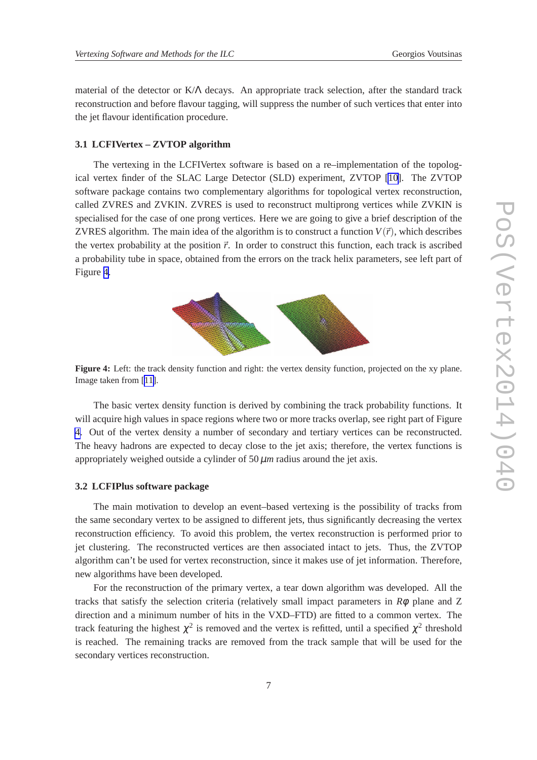material of the detector or K/Λ decays. An appropriate track selection, after the standard track reconstruction and before flavour tagging, will suppress the number of such vertices that enter into the jet flavour identification procedure.

#### **3.1 LCFIVertex – ZVTOP algorithm**

The vertexing in the LCFIVertex software is based on a re–implementation of the topological vertex finder of the SLAC Large Detector (SLD) experiment, ZVTOP [\[10](#page-9-0)]. The ZVTOP software package contains two complementary algorithms for topological vertex reconstruction, called ZVRES and ZVKIN. ZVRES is used to reconstruct multiprong vertices while ZVKIN is specialised for the case of one prong vertices. Here we are going to give a brief description of the ZVRES algorithm. The main idea of the algorithm is to construct a function  $V(\vec{r})$ , which describes the vertex probability at the position  $\vec{r}$ . In order to construct this function, each track is ascribed a probability tube in space, obtained from the errors on the track helix parameters, see left part of Figure 4.



**Figure 4:** Left: the track density function and right: the vertex density function, projected on the xy plane. Image taken from [[11\]](#page-9-0).

The basic vertex density function is derived by combining the track probability functions. It will acquire high values in space regions where two or more tracks overlap, see right part of Figure 4. Out of the vertex density a number of secondary and tertiary vertices can be reconstructed. The heavy hadrons are expected to decay close to the jet axis; therefore, the vertex functions is appropriately weighed outside a cylinder of  $50 \mu m$  radius around the jet axis.

#### **3.2 LCFIPlus software package**

The main motivation to develop an event–based vertexing is the possibility of tracks from the same secondary vertex to be assigned to different jets, thus significantly decreasing the vertex reconstruction efficiency. To avoid this problem, the vertex reconstruction is performed prior to jet clustering. The reconstructed vertices are then associated intact to jets. Thus, the ZVTOP algorithm can't be used for vertex reconstruction, since it makes use of jet information. Therefore, new algorithms have been developed.

For the reconstruction of the primary vertex, a tear down algorithm was developed. All the tracks that satisfy the selection criteria (relatively small impact parameters in *R*φ plane and Z direction and a minimum number of hits in the VXD–FTD) are fitted to a common vertex. The track featuring the highest  $\chi^2$  is removed and the vertex is refitted, until a specified  $\chi^2$  threshold is reached. The remaining tracks are removed from the track sample that will be used for the secondary vertices reconstruction.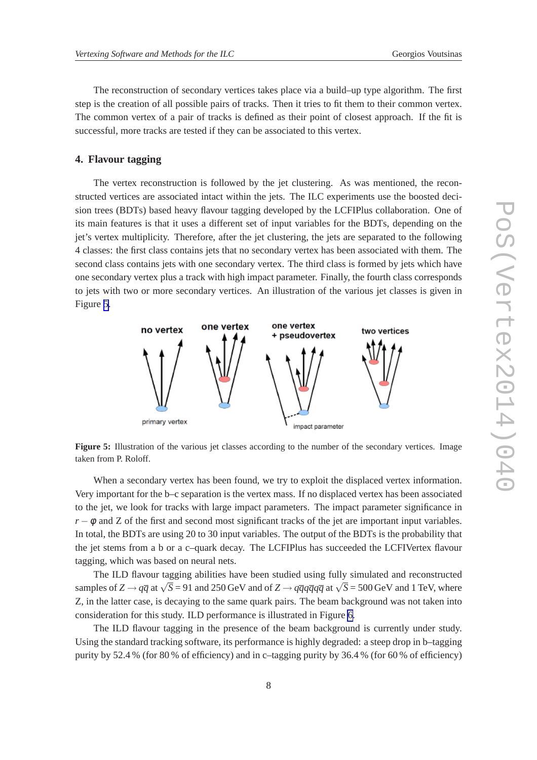The reconstruction of secondary vertices takes place via a build–up type algorithm. The first step is the creation of all possible pairs of tracks. Then it tries to fit them to their common vertex. The common vertex of a pair of tracks is defined as their point of closest approach. If the fit is successful, more tracks are tested if they can be associated to this vertex.

## **4. Flavour tagging**

The vertex reconstruction is followed by the jet clustering. As was mentioned, the reconstructed vertices are associated intact within the jets. The ILC experiments use the boosted decision trees (BDTs) based heavy flavour tagging developed by the LCFIPlus collaboration. One of its main features is that it uses a different set of input variables for the BDTs, depending on the jet's vertex multiplicity. Therefore, after the jet clustering, the jets are separated to the following 4 classes: the first class contains jets that no secondary vertex has been associated with them. The second class contains jets with one secondary vertex. The third class is formed by jets which have one secondary vertex plus a track with high impact parameter. Finally, the fourth class corresponds to jets with two or more secondary vertices. An illustration of the various jet classes is given in Figure 5.



**Figure 5:** Illustration of the various jet classes according to the number of the secondary vertices. Image taken from P. Roloff.

When a secondary vertex has been found, we try to exploit the displaced vertex information. Very important for the b–c separation is the vertex mass. If no displaced vertex has been associated to the jet, we look for tracks with large impact parameters. The impact parameter significance in  $r - \phi$  and Z of the first and second most significant tracks of the jet are important input variables. In total, the BDTs are using 20 to 30 input variables. The output of the BDTs is the probability that the jet stems from a b or a c–quark decay. The LCFIPlus has succeeded the LCFIVertex flavour tagging, which was based on neural nets.

The ILD flavour tagging abilities have been studied using fully simulated and reconstructed samples of *Z*  $\rightarrow$  *q* $\overline{q}$  at  $\sqrt{\overline{S}} = 91$  and 250 GeV and of *Z*  $\rightarrow$  *q* $\overline{q}$ *q* $\overline{q}$ *q* $\overline{q}$  at  $\sqrt{\overline{S}} = 500$  GeV and 1 TeV, where Z, in the latter case, is decaying to the same quark pairs. The beam background was not taken into consideration for this study. ILD performance is illustrated in Figure [6.](#page-8-0)

The ILD flavour tagging in the presence of the beam background is currently under study. Using the standard tracking software, its performance is highly degraded: a steep drop in b–tagging purity by 52.4 % (for 80 % of efficiency) and in c–tagging purity by 36.4 % (for 60 % of efficiency)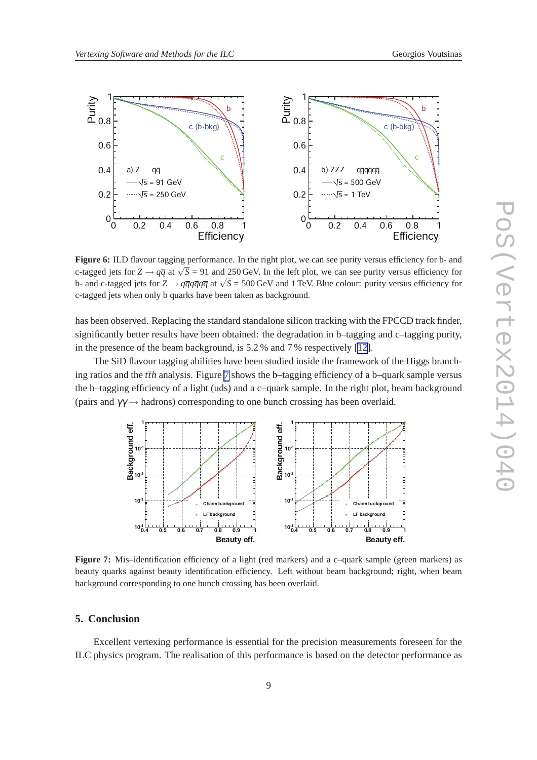<span id="page-8-0"></span>

**Figure 6:** ILD flavour tagging performance. In the right plot, we can see purity versus efficiency for b- and c-tagged jets for  $Z \rightarrow q\overline{q}$  at  $\sqrt{S} = 91$  and 250 GeV. In the left plot, we can see purity versus efficiency for b- and c-tagged jets for  $Z \rightarrow q\overline{q}q\overline{q}q\overline{q}$  at  $\sqrt{S} = 500$  GeV and 1 TeV. Blue colour: purity versus efficiency for c-tagged jets when only b quarks have been taken as background.

has been observed. Replacing the standard standalone silicon tracking with the FPCCD track finder, significantly better results have been obtained: the degradation in b–tagging and c–tagging purity, in the presence of the beam background, is 5.2 % and 7 % respectively [\[12](#page-9-0)].

The SiD flavour tagging abilities have been studied inside the framework of the Higgs branching ratios and the *tth* analysis. Figure 7 shows the b–tagging efficiency of a b–quark sample versus the b–tagging efficiency of a light (uds) and a c–quark sample. In the right plot, beam background (pairs and  $\gamma\gamma \rightarrow$  hadrons) corresponding to one bunch crossing has been overlaid.



**Figure 7:** Mis-identification efficiency of a light (red markers) and a c-quark sample (green markers) as beauty quarks against beauty identification efficiency. Left without beam background; right, when beam background corresponding to one bunch crossing has been overlaid.

## **5. Conclusion**

Excellent vertexing performance is essential for the precision measurements foreseen for the ILC physics program. The realisation of this performance is based on the detector performance as